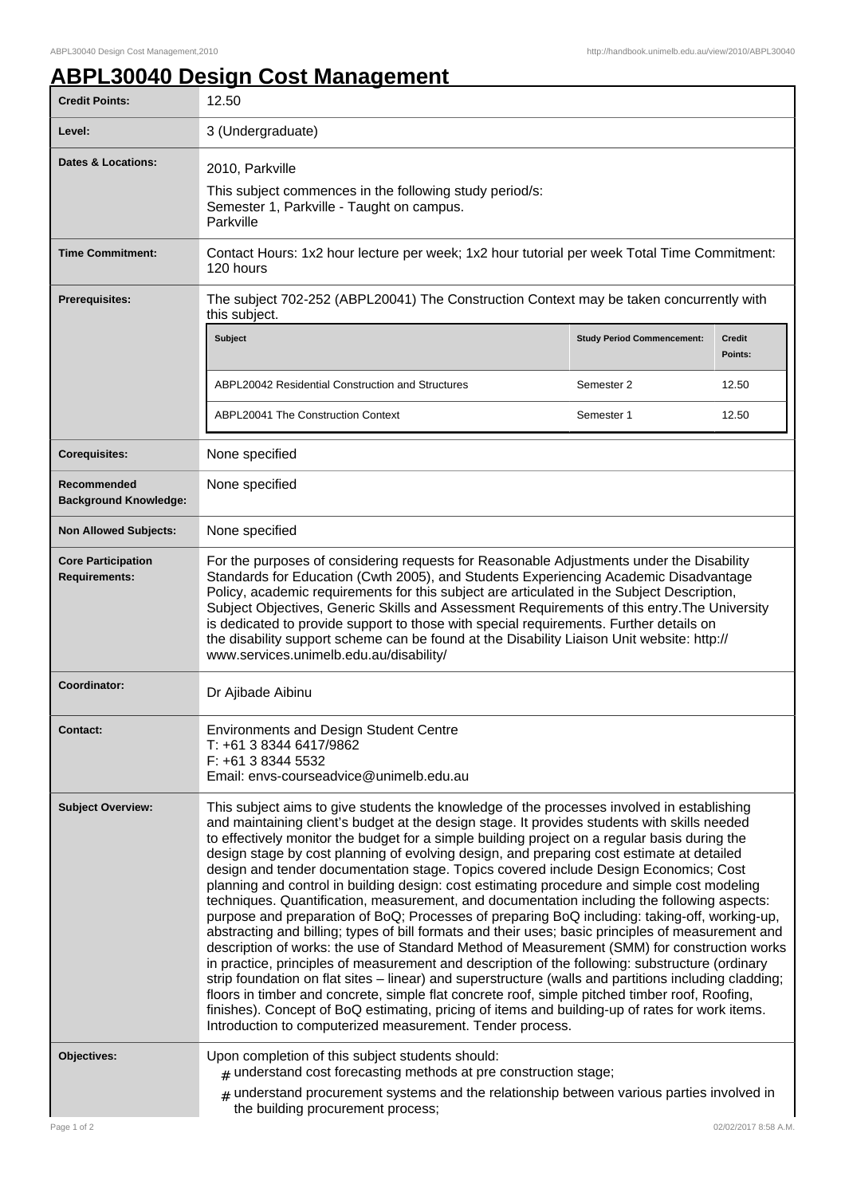1

## **ABPL30040 Design Cost Management**

| <b>Credit Points:</b>                             | 12.50                                                                                                                                                                                                                                                                                                                                                                                                                                                                                                                                                                                                                                                                                                                                                                                                                                                                                                                                                                                                                                                                                                                                                                                                                                                                                                                                                                                                                                                               |                                   |                          |
|---------------------------------------------------|---------------------------------------------------------------------------------------------------------------------------------------------------------------------------------------------------------------------------------------------------------------------------------------------------------------------------------------------------------------------------------------------------------------------------------------------------------------------------------------------------------------------------------------------------------------------------------------------------------------------------------------------------------------------------------------------------------------------------------------------------------------------------------------------------------------------------------------------------------------------------------------------------------------------------------------------------------------------------------------------------------------------------------------------------------------------------------------------------------------------------------------------------------------------------------------------------------------------------------------------------------------------------------------------------------------------------------------------------------------------------------------------------------------------------------------------------------------------|-----------------------------------|--------------------------|
| Level:                                            | 3 (Undergraduate)                                                                                                                                                                                                                                                                                                                                                                                                                                                                                                                                                                                                                                                                                                                                                                                                                                                                                                                                                                                                                                                                                                                                                                                                                                                                                                                                                                                                                                                   |                                   |                          |
| <b>Dates &amp; Locations:</b>                     | 2010, Parkville<br>This subject commences in the following study period/s:<br>Semester 1, Parkville - Taught on campus.<br>Parkville                                                                                                                                                                                                                                                                                                                                                                                                                                                                                                                                                                                                                                                                                                                                                                                                                                                                                                                                                                                                                                                                                                                                                                                                                                                                                                                                |                                   |                          |
| <b>Time Commitment:</b>                           | Contact Hours: 1x2 hour lecture per week; 1x2 hour tutorial per week Total Time Commitment:<br>120 hours                                                                                                                                                                                                                                                                                                                                                                                                                                                                                                                                                                                                                                                                                                                                                                                                                                                                                                                                                                                                                                                                                                                                                                                                                                                                                                                                                            |                                   |                          |
| <b>Prerequisites:</b>                             | The subject 702-252 (ABPL20041) The Construction Context may be taken concurrently with<br>this subject.                                                                                                                                                                                                                                                                                                                                                                                                                                                                                                                                                                                                                                                                                                                                                                                                                                                                                                                                                                                                                                                                                                                                                                                                                                                                                                                                                            |                                   |                          |
|                                                   | Subject                                                                                                                                                                                                                                                                                                                                                                                                                                                                                                                                                                                                                                                                                                                                                                                                                                                                                                                                                                                                                                                                                                                                                                                                                                                                                                                                                                                                                                                             | <b>Study Period Commencement:</b> | <b>Credit</b><br>Points: |
|                                                   | ABPL20042 Residential Construction and Structures                                                                                                                                                                                                                                                                                                                                                                                                                                                                                                                                                                                                                                                                                                                                                                                                                                                                                                                                                                                                                                                                                                                                                                                                                                                                                                                                                                                                                   | Semester 2                        | 12.50                    |
|                                                   | ABPL20041 The Construction Context                                                                                                                                                                                                                                                                                                                                                                                                                                                                                                                                                                                                                                                                                                                                                                                                                                                                                                                                                                                                                                                                                                                                                                                                                                                                                                                                                                                                                                  | Semester 1                        | 12.50                    |
| <b>Corequisites:</b>                              | None specified                                                                                                                                                                                                                                                                                                                                                                                                                                                                                                                                                                                                                                                                                                                                                                                                                                                                                                                                                                                                                                                                                                                                                                                                                                                                                                                                                                                                                                                      |                                   |                          |
| Recommended<br><b>Background Knowledge:</b>       | None specified                                                                                                                                                                                                                                                                                                                                                                                                                                                                                                                                                                                                                                                                                                                                                                                                                                                                                                                                                                                                                                                                                                                                                                                                                                                                                                                                                                                                                                                      |                                   |                          |
| <b>Non Allowed Subjects:</b>                      | None specified                                                                                                                                                                                                                                                                                                                                                                                                                                                                                                                                                                                                                                                                                                                                                                                                                                                                                                                                                                                                                                                                                                                                                                                                                                                                                                                                                                                                                                                      |                                   |                          |
| <b>Core Participation</b><br><b>Requirements:</b> | For the purposes of considering requests for Reasonable Adjustments under the Disability<br>Standards for Education (Cwth 2005), and Students Experiencing Academic Disadvantage<br>Policy, academic requirements for this subject are articulated in the Subject Description,<br>Subject Objectives, Generic Skills and Assessment Requirements of this entry. The University<br>is dedicated to provide support to those with special requirements. Further details on<br>the disability support scheme can be found at the Disability Liaison Unit website: http://<br>www.services.unimelb.edu.au/disability/                                                                                                                                                                                                                                                                                                                                                                                                                                                                                                                                                                                                                                                                                                                                                                                                                                                   |                                   |                          |
| Coordinator:                                      | Dr Ajibade Aibinu                                                                                                                                                                                                                                                                                                                                                                                                                                                                                                                                                                                                                                                                                                                                                                                                                                                                                                                                                                                                                                                                                                                                                                                                                                                                                                                                                                                                                                                   |                                   |                          |
| <b>Contact:</b>                                   | <b>Environments and Design Student Centre</b><br>T: +61 3 8344 6417/9862<br>F: +61 3 8344 5532<br>Email: envs-courseadvice@unimelb.edu.au                                                                                                                                                                                                                                                                                                                                                                                                                                                                                                                                                                                                                                                                                                                                                                                                                                                                                                                                                                                                                                                                                                                                                                                                                                                                                                                           |                                   |                          |
| <b>Subject Overview:</b>                          | This subject aims to give students the knowledge of the processes involved in establishing<br>and maintaining client's budget at the design stage. It provides students with skills needed<br>to effectively monitor the budget for a simple building project on a regular basis during the<br>design stage by cost planning of evolving design, and preparing cost estimate at detailed<br>design and tender documentation stage. Topics covered include Design Economics; Cost<br>planning and control in building design: cost estimating procedure and simple cost modeling<br>techniques. Quantification, measurement, and documentation including the following aspects:<br>purpose and preparation of BoQ; Processes of preparing BoQ including: taking-off, working-up,<br>abstracting and billing; types of bill formats and their uses; basic principles of measurement and<br>description of works: the use of Standard Method of Measurement (SMM) for construction works<br>in practice, principles of measurement and description of the following: substructure (ordinary<br>strip foundation on flat sites – linear) and superstructure (walls and partitions including cladding;<br>floors in timber and concrete, simple flat concrete roof, simple pitched timber roof, Roofing,<br>finishes). Concept of BoQ estimating, pricing of items and building-up of rates for work items.<br>Introduction to computerized measurement. Tender process. |                                   |                          |
| Objectives:                                       | Upon completion of this subject students should:<br>$#$ understand cost forecasting methods at pre construction stage;<br>$#$ understand procurement systems and the relationship between various parties involved in                                                                                                                                                                                                                                                                                                                                                                                                                                                                                                                                                                                                                                                                                                                                                                                                                                                                                                                                                                                                                                                                                                                                                                                                                                               |                                   |                          |
|                                                   | the building procurement process;                                                                                                                                                                                                                                                                                                                                                                                                                                                                                                                                                                                                                                                                                                                                                                                                                                                                                                                                                                                                                                                                                                                                                                                                                                                                                                                                                                                                                                   |                                   |                          |
| Page 1 of 2                                       |                                                                                                                                                                                                                                                                                                                                                                                                                                                                                                                                                                                                                                                                                                                                                                                                                                                                                                                                                                                                                                                                                                                                                                                                                                                                                                                                                                                                                                                                     |                                   | 02/02/2017 8:58 A.M.     |